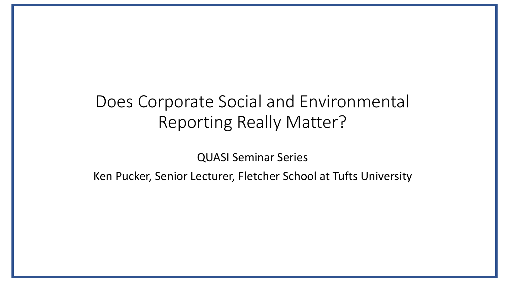QUASI Seminar Series

Ken Pucker, Senior Lecturer, Fletcher School at Tufts University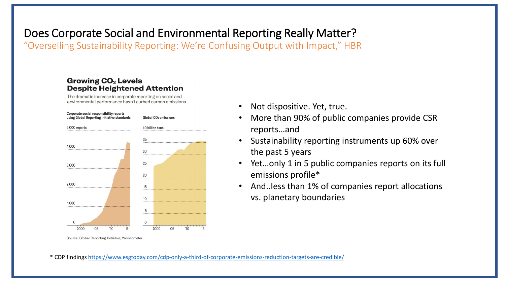"Overselling Sustainability Reporting: We're Confusing Output with Impact," HBR

#### **Growing CO<sub>2</sub> Levels Despite Heightened Attention**

The dramatic increase in corporate reporting on social and environmental performance hasn't curbed carbon emissions.



- More than 90% of public companies provide CSR reports…and
- Sustainability reporting instruments up 60% over the past 5 years
- Yet…only 1 in 5 public companies reports on its full emissions profile\*
- And..less than 1% of companies report allocations vs. planetary boundaries

Source: Global Reporting Initiative; Worldometer

\* CDP findings<https://www.esgtoday.com/cdp-only-a-third-of-corporate-emissions-reduction-targets-are-credible/>

<sup>•</sup> Not dispositive. Yet, true.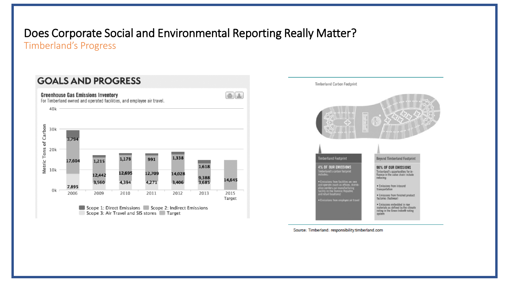Timberland's Progress



Scope 1: Direct Emissions Scope 2: Indirect Emissions Scope 3: Air Travel and SIS stores Target



Source: Timberland: responsibility.timberland.com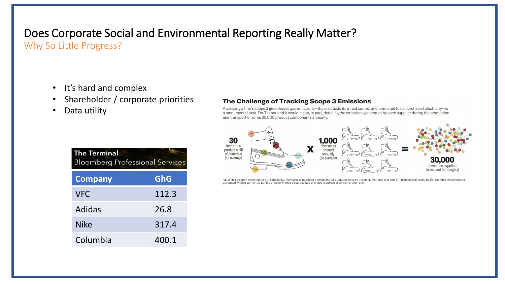Why So Little Progress?

- It's hard and complex
- Shareholder / corporate priorities
- Data utility

| The Challenge of Tracking Scope 3 Emissions |  |
|---------------------------------------------|--|
|---------------------------------------------|--|

Assessing a firm's scope 3 greenhouse gas emissions-those outside its direct control and unrelated to its purchased electricity-is a monumental task. For Timberland it would mean, in part, detailing the emissions generated by each supplier during the production and transport of some 30,000 product components annually.



Note: This diagram oversimplifies the challenge. Fully assessing scope 3 emissions also requires data on the consumer-care and end-of-life phases of products (for example, the emissions<br>generated when a garment is tumble d

| <b>The Terminal</b><br><b>Bloomberg Professional Services</b> |            |
|---------------------------------------------------------------|------------|
| <b>Company</b>                                                | <b>GhG</b> |
| <b>VFC</b>                                                    | 112.3      |
| Adidas                                                        | 26.8       |
| <b>Nike</b>                                                   | 317.4      |
| Columbia                                                      | 400.1      |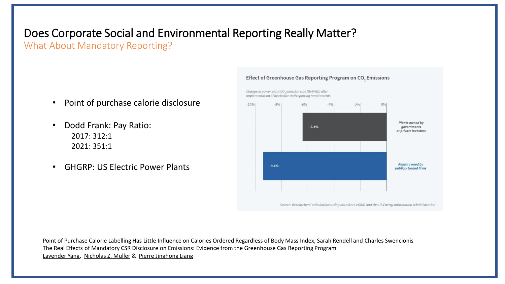What About Mandatory Reporting?

- Point of purchase calorie disclosure
- Dodd Frank: Pay Ratio: 2017: 312:1 2021: 351:1
- GHGRP: US Electric Power Plants



Point of Purchase Calorie Labelling Has Little Influence on Calories Ordered Regardless of Body Mass Index, Sarah Rendell and Charles Swencionis The Real Effects of Mandatory CSR Disclosure on Emissions: Evidence from the Greenhouse Gas Reporting Program [Lavender Yang,](https://www.nber.org/people/lavender_yang) [Nicholas Z. Muller](https://www.nber.org/people/nicholas_muller) & [Pierre Jinghong Liang](https://www.nber.org/people/pierre_jinghong_liang)